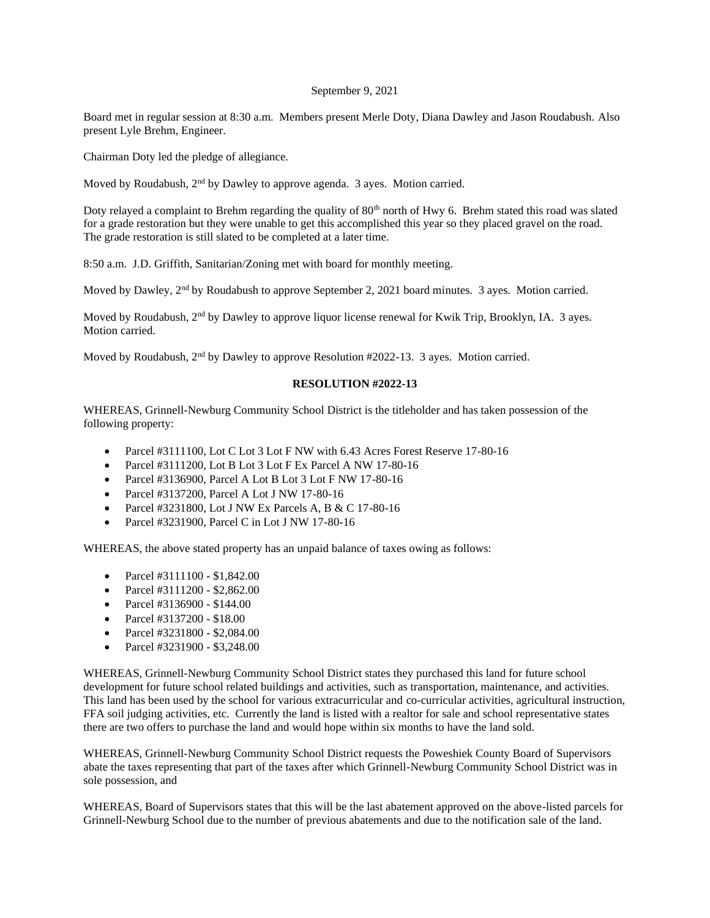## September 9, 2021

Board met in regular session at 8:30 a.m. Members present Merle Doty, Diana Dawley and Jason Roudabush. Also present Lyle Brehm, Engineer.

Chairman Doty led the pledge of allegiance.

Moved by Roudabush,  $2<sup>nd</sup>$  by Dawley to approve agenda. 3 ayes. Motion carried.

Doty relayed a complaint to Brehm regarding the quality of 80<sup>th</sup> north of Hwy 6. Brehm stated this road was slated for a grade restoration but they were unable to get this accomplished this year so they placed gravel on the road. The grade restoration is still slated to be completed at a later time.

8:50 a.m. J.D. Griffith, Sanitarian/Zoning met with board for monthly meeting.

Moved by Dawley, 2<sup>nd</sup> by Roudabush to approve September 2, 2021 board minutes. 3 ayes. Motion carried.

Moved by Roudabush, 2<sup>nd</sup> by Dawley to approve liquor license renewal for Kwik Trip, Brooklyn, IA. 3 ayes. Motion carried.

Moved by Roudabush, 2nd by Dawley to approve Resolution #2022-13. 3 ayes. Motion carried.

## **RESOLUTION #2022-13**

WHEREAS, Grinnell-Newburg Community School District is the titleholder and has taken possession of the following property:

- Parcel #3111100, Lot C Lot 3 Lot F NW with 6.43 Acres Forest Reserve 17-80-16
- Parcel #3111200, Lot B Lot 3 Lot F Ex Parcel A NW 17-80-16
- Parcel #3136900, Parcel A Lot B Lot 3 Lot F NW 17-80-16
- Parcel #3137200, Parcel A Lot J NW 17-80-16
- Parcel #3231800, Lot J NW Ex Parcels A, B & C 17-80-16
- Parcel #3231900, Parcel C in Lot J NW 17-80-16

WHEREAS, the above stated property has an unpaid balance of taxes owing as follows:

- Parcel #3111100 \$1,842.00
- Parcel #3111200 \$2,862,00
- Parcel #3136900 \$144.00
- Parcel #3137200 \$18.00
- Parcel #3231800 \$2,084.00
- Parcel #3231900 \$3,248.00

WHEREAS, Grinnell-Newburg Community School District states they purchased this land for future school development for future school related buildings and activities, such as transportation, maintenance, and activities. This land has been used by the school for various extracurricular and co-curricular activities, agricultural instruction, FFA soil judging activities, etc. Currently the land is listed with a realtor for sale and school representative states there are two offers to purchase the land and would hope within six months to have the land sold.

WHEREAS, Grinnell-Newburg Community School District requests the Poweshiek County Board of Supervisors abate the taxes representing that part of the taxes after which Grinnell-Newburg Community School District was in sole possession, and

WHEREAS, Board of Supervisors states that this will be the last abatement approved on the above-listed parcels for Grinnell-Newburg School due to the number of previous abatements and due to the notification sale of the land.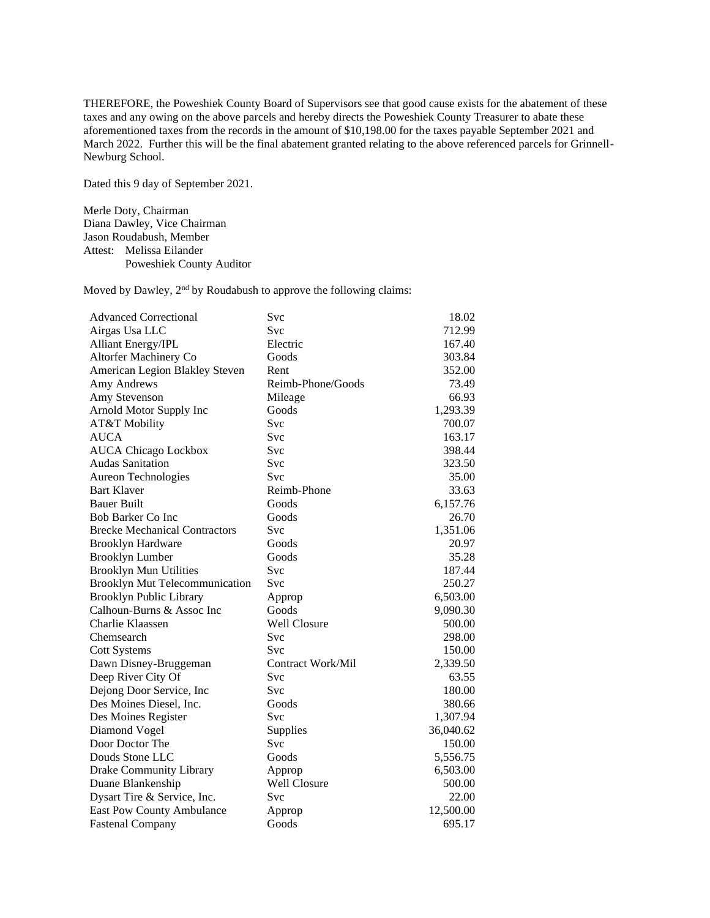THEREFORE, the Poweshiek County Board of Supervisors see that good cause exists for the abatement of these taxes and any owing on the above parcels and hereby directs the Poweshiek County Treasurer to abate these aforementioned taxes from the records in the amount of \$10,198.00 for the taxes payable September 2021 and March 2022. Further this will be the final abatement granted relating to the above referenced parcels for Grinnell-Newburg School.

Dated this 9 day of September 2021.

Merle Doty, Chairman Diana Dawley, Vice Chairman Jason Roudabush, Member Attest: Melissa Eilander Poweshiek County Auditor

Moved by Dawley,  $2<sup>nd</sup>$  by Roudabush to approve the following claims:

| <b>Advanced Correctional</b>          | Svc                 | 18.02     |
|---------------------------------------|---------------------|-----------|
| Airgas Usa LLC                        | Svc                 | 712.99    |
| Alliant Energy/IPL                    | Electric            | 167.40    |
| Altorfer Machinery Co                 | Goods               | 303.84    |
| American Legion Blakley Steven        | Rent                | 352.00    |
| Amy Andrews                           | Reimb-Phone/Goods   | 73.49     |
| Amy Stevenson                         | Mileage             | 66.93     |
| Arnold Motor Supply Inc               | Goods               | 1,293.39  |
| AT&T Mobility                         | Svc                 | 700.07    |
| <b>AUCA</b>                           | Svc                 | 163.17    |
| <b>AUCA Chicago Lockbox</b>           | Svc                 | 398.44    |
| <b>Audas Sanitation</b>               | Svc                 | 323.50    |
| Aureon Technologies                   | Svc                 | 35.00     |
| <b>Bart Klaver</b>                    | Reimb-Phone         | 33.63     |
| <b>Bauer Built</b>                    | Goods               | 6,157.76  |
| <b>Bob Barker Co Inc</b>              | Goods               | 26.70     |
| <b>Brecke Mechanical Contractors</b>  | Svc                 | 1,351.06  |
| <b>Brooklyn Hardware</b>              | Goods               | 20.97     |
| <b>Brooklyn Lumber</b>                | Goods               | 35.28     |
| <b>Brooklyn Mun Utilities</b>         | Svc                 | 187.44    |
| <b>Brooklyn Mut Telecommunication</b> | Svc                 | 250.27    |
| <b>Brooklyn Public Library</b>        | Approp              | 6,503.00  |
| Calhoun-Burns & Assoc Inc             | Goods               | 9,090.30  |
| Charlie Klaassen                      | <b>Well Closure</b> | 500.00    |
| Chemsearch                            | Svc                 | 298.00    |
| <b>Cott Systems</b>                   | <b>Svc</b>          | 150.00    |
| Dawn Disney-Bruggeman                 | Contract Work/Mil   | 2,339.50  |
| Deep River City Of                    | Svc                 | 63.55     |
| Dejong Door Service, Inc              | Svc                 | 180.00    |
| Des Moines Diesel, Inc.               | Goods               | 380.66    |
| Des Moines Register                   | Svc                 | 1,307.94  |
| Diamond Vogel                         | Supplies            | 36,040.62 |
| Door Doctor The                       | <b>Svc</b>          | 150.00    |
| Douds Stone LLC                       | Goods               | 5,556.75  |
| Drake Community Library               | Approp              | 6,503.00  |
| Duane Blankenship                     | <b>Well Closure</b> | 500.00    |
| Dysart Tire & Service, Inc.           | Svc                 | 22.00     |
| East Pow County Ambulance             | Approp              | 12,500.00 |
| <b>Fastenal Company</b>               | Goods               | 695.17    |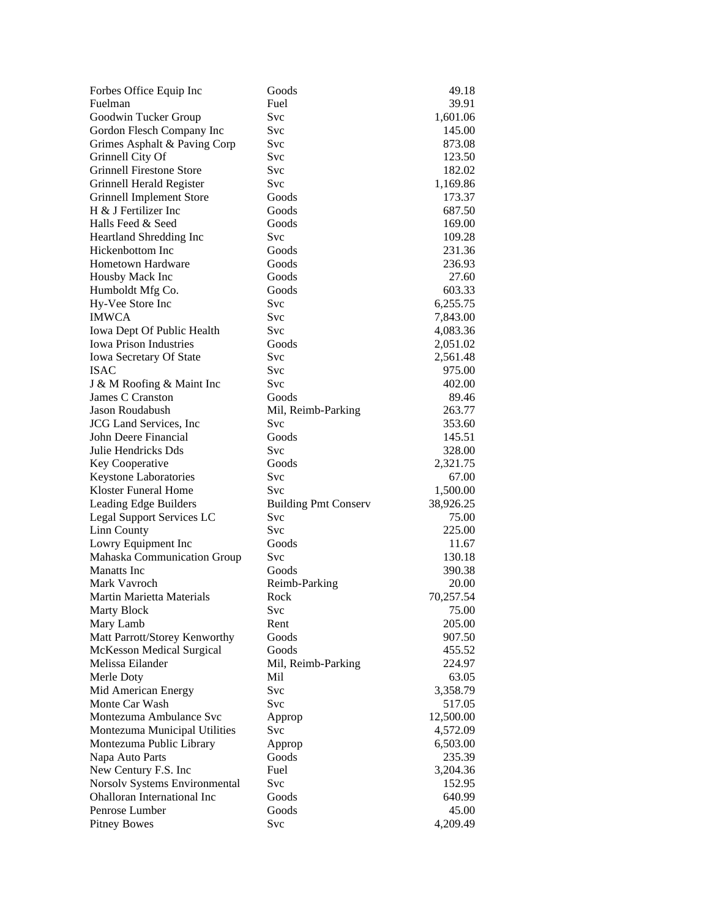| Forbes Office Equip Inc                                   | Goods                              | 49.18     |
|-----------------------------------------------------------|------------------------------------|-----------|
| Fuelman                                                   | Fuel                               | 39.91     |
| Goodwin Tucker Group                                      | Svc                                | 1,601.06  |
| Gordon Flesch Company Inc                                 | Svc                                | 145.00    |
| Grimes Asphalt & Paving Corp                              | Svc                                | 873.08    |
| Grinnell City Of                                          | Svc                                | 123.50    |
| <b>Grinnell Firestone Store</b>                           | Svc                                | 182.02    |
| Grinnell Herald Register                                  | Svc                                | 1,169.86  |
| Grinnell Implement Store                                  | Goods                              | 173.37    |
| H & J Fertilizer Inc                                      | Goods                              | 687.50    |
| Halls Feed & Seed                                         | Goods                              | 169.00    |
| Heartland Shredding Inc                                   | Svc                                | 109.28    |
| Hickenbottom Inc                                          | Goods                              | 231.36    |
| <b>Hometown Hardware</b>                                  | Goods                              | 236.93    |
| Housby Mack Inc                                           | Goods                              | 27.60     |
| Humboldt Mfg Co.                                          | Goods                              | 603.33    |
| Hy-Vee Store Inc                                          | <b>Svc</b>                         | 6,255.75  |
| <b>IMWCA</b>                                              | <b>Svc</b>                         | 7,843.00  |
| Iowa Dept Of Public Health                                | <b>Svc</b>                         | 4,083.36  |
| <b>Iowa Prison Industries</b>                             | Goods                              | 2,051.02  |
| Iowa Secretary Of State                                   | Svc                                | 2,561.48  |
| <b>ISAC</b>                                               | Svc                                | 975.00    |
| J & M Roofing & Maint Inc                                 | Svc                                | 402.00    |
| James C Cranston                                          | Goods                              | 89.46     |
| Jason Roudabush                                           | Mil, Reimb-Parking                 | 263.77    |
| <b>JCG</b> Land Services, Inc                             | <b>Svc</b>                         | 353.60    |
| John Deere Financial                                      | Goods                              | 145.51    |
| Julie Hendricks Dds                                       | <b>Svc</b>                         | 328.00    |
| Key Cooperative                                           | Goods                              | 2,321.75  |
| Keystone Laboratories                                     | Svc                                | 67.00     |
| Kloster Funeral Home                                      | Svc                                | 1,500.00  |
|                                                           |                                    | 38,926.25 |
| Leading Edge Builders<br><b>Legal Support Services LC</b> | <b>Building Pmt Conserv</b><br>Svc | 75.00     |
| Linn County                                               | Svc                                | 225.00    |
|                                                           | Goods                              |           |
| Lowry Equipment Inc                                       | Svc                                | 11.67     |
| Mahaska Communication Group                               | Goods                              | 130.18    |
| <b>Manatts</b> Inc<br>Mark Vavroch                        |                                    | 390.38    |
|                                                           | Reimb-Parking                      | 20.00     |
| Martin Marietta Materials                                 | Rock                               | 70,257.54 |
| <b>Marty Block</b>                                        | Svc                                | 75.00     |
| Mary Lamb                                                 | Rent                               | 205.00    |
| Matt Parrott/Storey Kenworthy                             | Goods                              | 907.50    |
| McKesson Medical Surgical                                 | Goods                              | 455.52    |
| Melissa Eilander                                          | Mil, Reimb-Parking                 | 224.97    |
| Merle Doty                                                | Mil                                | 63.05     |
| Mid American Energy                                       | <b>Svc</b>                         | 3,358.79  |
| Monte Car Wash                                            | <b>Svc</b>                         | 517.05    |
| Montezuma Ambulance Syc                                   | Approp                             | 12,500.00 |
| Montezuma Municipal Utilities                             | Svc                                | 4,572.09  |
| Montezuma Public Library                                  | Approp                             | 6,503.00  |
| Napa Auto Parts                                           | Goods                              | 235.39    |
| New Century F.S. Inc                                      | Fuel                               | 3,204.36  |
| Norsolv Systems Environmental                             | Svc                                | 152.95    |
| <b>Ohalloran International Inc</b>                        | Goods                              | 640.99    |
| Penrose Lumber                                            | Goods                              | 45.00     |
| <b>Pitney Bowes</b>                                       | Svc                                | 4,209.49  |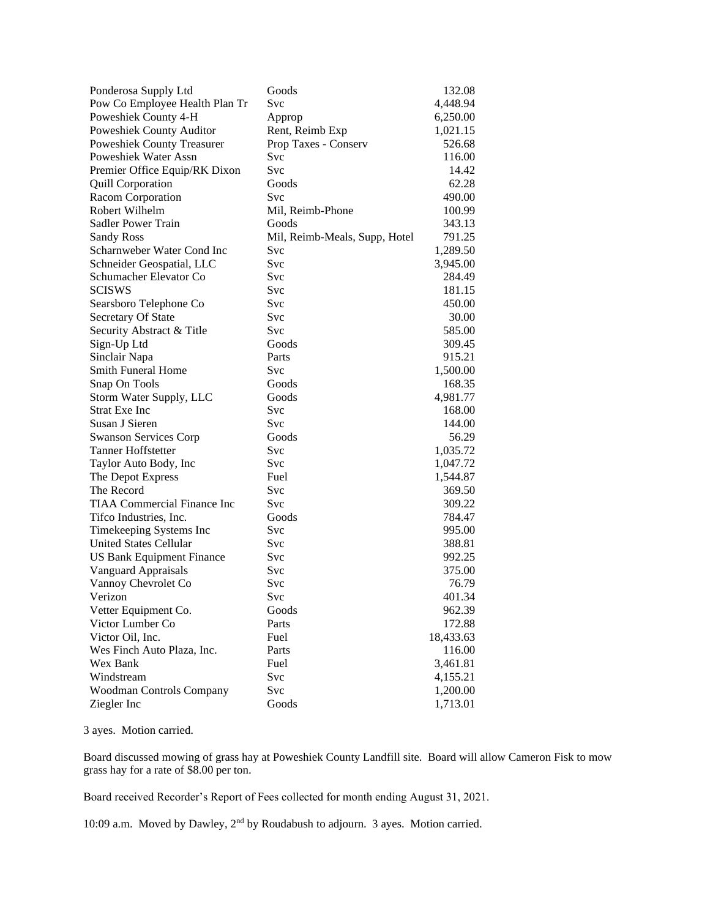| Ponderosa Supply Ltd               | Goods                         | 132.08    |
|------------------------------------|-------------------------------|-----------|
| Pow Co Employee Health Plan Tr     | Svc                           | 4,448.94  |
| Poweshiek County 4-H               | Approp                        | 6,250.00  |
| Poweshiek County Auditor           | Rent, Reimb Exp               | 1,021.15  |
| Poweshiek County Treasurer         | Prop Taxes - Conserv          | 526.68    |
| Poweshiek Water Assn               | Svc                           | 116.00    |
| Premier Office Equip/RK Dixon      | <b>Svc</b>                    | 14.42     |
| <b>Quill Corporation</b>           | Goods                         | 62.28     |
| Racom Corporation                  | Svc                           | 490.00    |
| Robert Wilhelm                     | Mil, Reimb-Phone              | 100.99    |
| Sadler Power Train                 | Goods                         | 343.13    |
| <b>Sandy Ross</b>                  | Mil, Reimb-Meals, Supp, Hotel | 791.25    |
| Scharnweber Water Cond Inc         | Svc                           | 1,289.50  |
| Schneider Geospatial, LLC          | <b>Svc</b>                    | 3,945.00  |
| Schumacher Elevator Co             | Svc                           | 284.49    |
| <b>SCISWS</b>                      | Svc                           | 181.15    |
| Searsboro Telephone Co             | <b>Svc</b>                    | 450.00    |
| Secretary Of State                 | <b>Svc</b>                    | 30.00     |
| Security Abstract & Title          | <b>Svc</b>                    | 585.00    |
| Sign-Up Ltd                        | Goods                         | 309.45    |
| Sinclair Napa                      | Parts                         | 915.21    |
| <b>Smith Funeral Home</b>          | Svc                           | 1,500.00  |
| Snap On Tools                      | Goods                         | 168.35    |
| Storm Water Supply, LLC            | Goods                         | 4,981.77  |
| <b>Strat Exe Inc</b>               | Svc                           | 168.00    |
| Susan J Sieren                     | Svc                           | 144.00    |
| <b>Swanson Services Corp</b>       | Goods                         | 56.29     |
| <b>Tanner Hoffstetter</b>          | Svc                           | 1,035.72  |
| Taylor Auto Body, Inc              | Svc                           | 1,047.72  |
| The Depot Express                  | Fuel                          | 1,544.87  |
| The Record                         | Svc                           | 369.50    |
| <b>TIAA Commercial Finance Inc</b> | <b>Svc</b>                    | 309.22    |
| Tifco Industries, Inc.             | Goods                         | 784.47    |
| Timekeeping Systems Inc            | Svc                           | 995.00    |
| <b>United States Cellular</b>      | <b>Svc</b>                    | 388.81    |
| <b>US Bank Equipment Finance</b>   | Svc                           | 992.25    |
| Vanguard Appraisals                | Svc                           | 375.00    |
| Vannoy Chevrolet Co                | Svc                           | 76.79     |
| Verizon                            | Svc                           | 401.34    |
| Vetter Equipment Co.               | Goods                         | 962.39    |
| Victor Lumber Co                   | Parts                         | 172.88    |
| Victor Oil, Inc.                   | Fuel                          | 18,433.63 |
| Wes Finch Auto Plaza, Inc.         | Parts                         | 116.00    |
| Wex Bank                           | Fuel                          | 3,461.81  |
| Windstream                         | Svc                           | 4,155.21  |
| Woodman Controls Company           | Svc                           | 1,200.00  |
| Ziegler Inc                        | Goods                         | 1,713.01  |

3 ayes. Motion carried.

Board discussed mowing of grass hay at Poweshiek County Landfill site. Board will allow Cameron Fisk to mow grass hay for a rate of \$8.00 per ton.

Board received Recorder's Report of Fees collected for month ending August 31, 2021.

10:09 a.m. Moved by Dawley, 2<sup>nd</sup> by Roudabush to adjourn. 3 ayes. Motion carried.